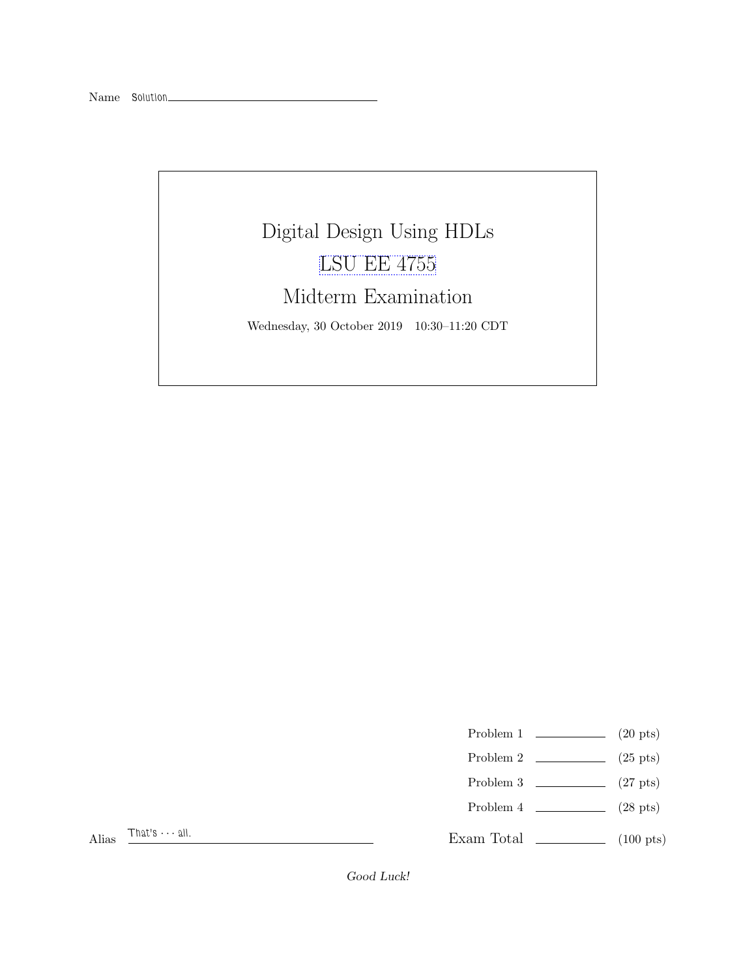

- Problem 1  $\qquad \qquad (20 \text{ pts})$
- Problem 2  $\qquad \qquad (25 \text{ pts})$
- Problem 3  $\qquad \qquad$  (27 pts)
- Problem  $4 \t\t(28 \text{ pts})$

Exam Total (100 pts)

Alias  $\frac{That's \cdots all.}{ }$ 

Good Luck!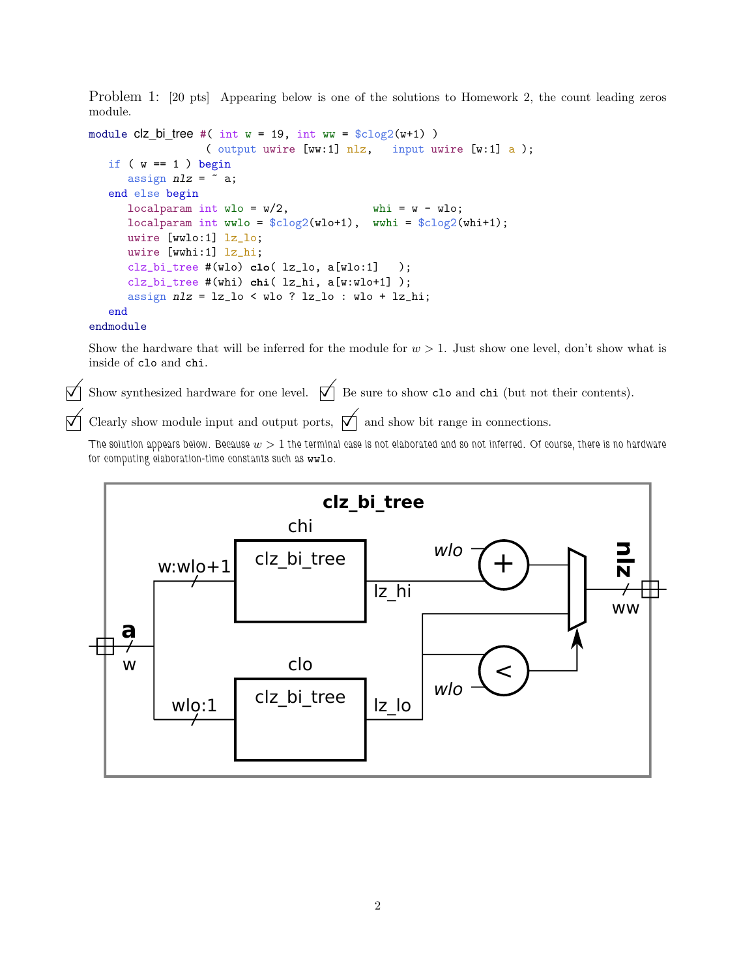Problem 1: [20 pts] Appearing below is one of the solutions to Homework 2, the count leading zeros module.

```
module clz_bi_tree #( int w = 19, int ww = c2(w+1))
                 ( output uwire [ww:1] nlz, input uwire [w:1] a );
  if (w == 1) begin
     assign nlz = \tilde{a};
  end else begin
     localparam int wlo = w/2, whi = w - wlo;
     localparam int wwlo = clog2(wlo+1), wwhi = clog2(whi+1);
     uwire [wwlo:1] lz_lo;
     uwire [wwhi:1] lz_hi;
     clz_bi_tree #(wlo) clo( lz_lo, a[wlo:1] );
     clz_bi_tree #(whi) chi( lz_hi, a[w:wlo+1] );
     assign nlz = lz_1o < wlo ? lz_1o : wlo + lz_1i;
  end
```
## endmodule

Show the hardware that will be inferred for the module for  $w > 1$ . Just show one level, don't show what is inside of clo and chi.

 $\overrightarrow{\bigwedge}$  Show synthesized hardware for one level.  $\overrightarrow{\bigwedge}$  Be sure to show clo and chi (but not their contents).

Clearly show module input and output ports,  $\mathcal{A}$  and show bit range in connections.

The solution appears below. Because  $w > 1$  the terminal case is not elaborated and so not inferred. Of course, there is no hardware for computing elaboration-time constants such as wwlo.

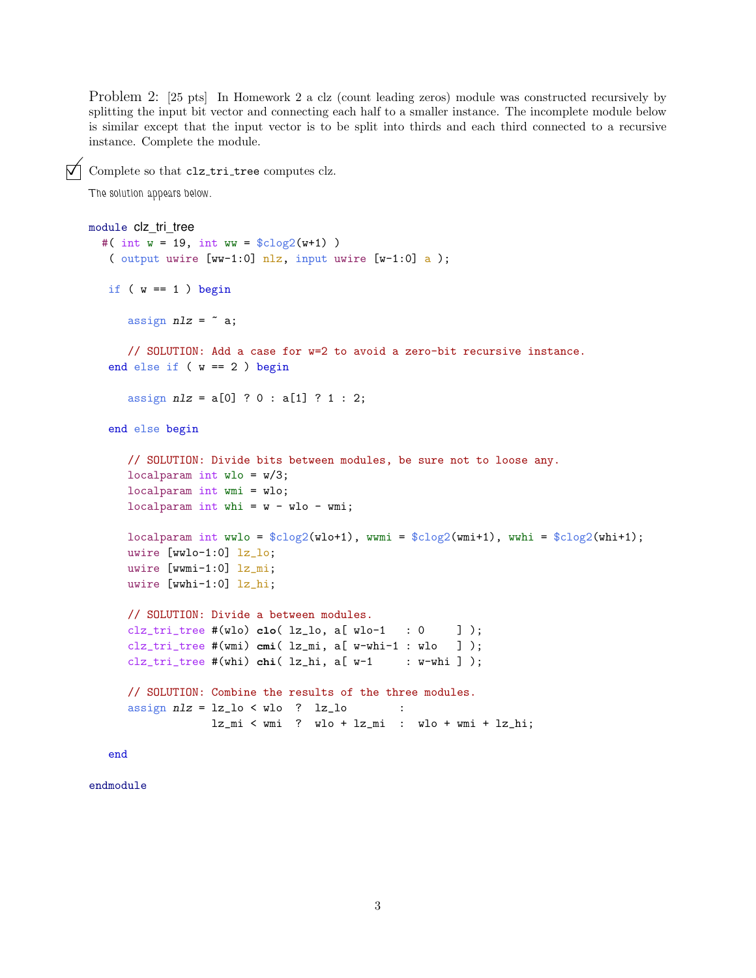Problem 2: [25 pts] In Homework 2 a clz (count leading zeros) module was constructed recursively by splitting the input bit vector and connecting each half to a smaller instance. The incomplete module below is similar except that the input vector is to be split into thirds and each third connected to a recursive instance. Complete the module.

 $\nabla$  Complete so that clz\_tri\_tree computes clz.

The solution appears below.

```
module clz_tri_tree
 #( int w = 19, int ww = $c \log(2(w+1)))
   ( output uwire [ww-1:0] nlz, input uwire [w-1:0] a );
  if (w == 1) begin
     assign nlz = \tilde{a};
     // SOLUTION: Add a case for w=2 to avoid a zero-bit recursive instance.
  end else if ( w == 2 ) begin
     assign nlz = a[0] ? 0 : a[1] ? 1 : 2;end else begin
     // SOLUTION: Divide bits between modules, be sure not to loose any.
     localparam int wlo = w/3;
     localparam int wmi = wlo;
     localparam int whi = w - wlo - wmi;
     localparam int wwlo = clog2(wlot1), wwmi = clog2(wmit1), wwhi = clog2(whit1);
     uwire [wwlo-1:0] lz_lo;
     uwire [wwmi-1:0] lz_mi;
     uwire [wwhi-1:0] lz_hi;
     // SOLUTION: Divide a between modules.
     clz_tri_tree #(wlo) clo( lz_lo, a[ wlo-1 : 0 ] );
     clz_tri_tree #(wmi) cmi( lz_mi, a[ w-whi-1 : wlo ] );
     clz_tri_tree #(whi) chi( 1z_hi, a[v-1 : w-whi ] );
     // SOLUTION: Combine the results of the three modules.
     assign nlz = lz_1 < wlo ? lz_1 :
                  lz_mi < wmi ? wlo + lz_mi : wlo + wmi + lz_hi;
```
end

endmodule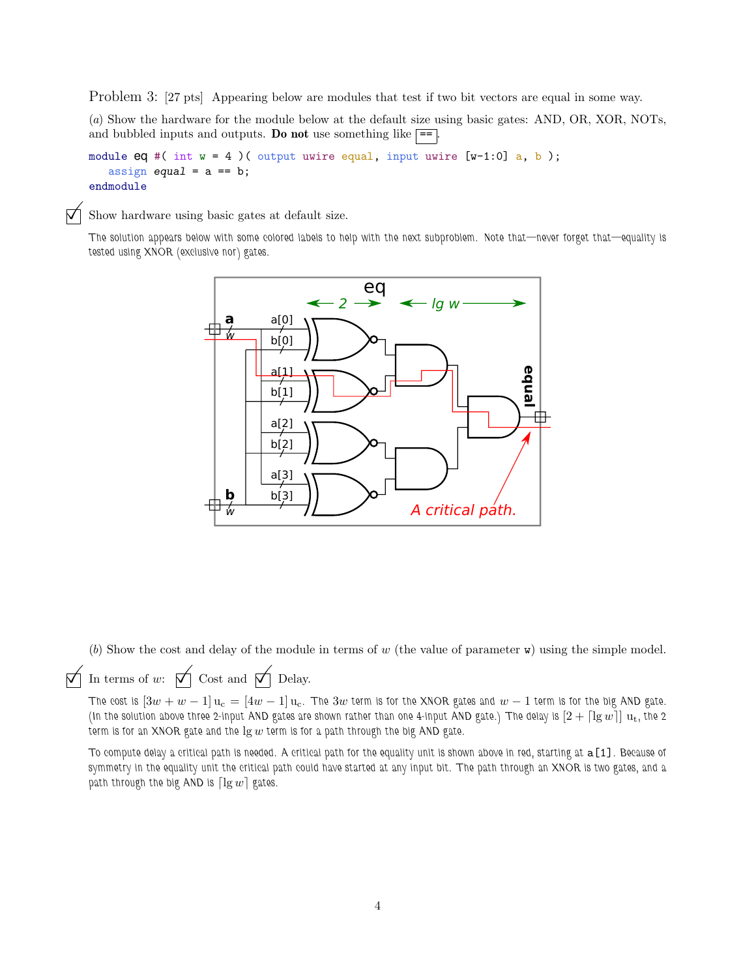Problem 3: [27 pts] Appearing below are modules that test if two bit vectors are equal in some way.

(a) Show the hardware for the module below at the default size using basic gates: AND, OR, XOR, NOTs, and bubbled inputs and outputs. Do not use something like  $\equiv$ 

module eq #( int  $w = 4$  )( output uwire equal, input uwire [w-1:0] a, b); assign equal =  $a == b$ ; endmodule

 $\nabla$  Show hardware using basic gates at default size.

The solution appears below with some colored labels to help with the next subproblem. Note that—never forget that—equality is tested using XNOR (exclusive nor) gates.



(b) Show the cost and delay of the module in terms of w (the value of parameter  $\bf{w}$ ) using the simple model.

 $\overrightarrow{\bigvee}$  In terms of w:  $\overrightarrow{\bigvee}$  Cost and  $\overrightarrow{\bigvee}$  Delay.

The cost is  $[3w+w-1]u_c = [4w-1]u_c$ . The  $3w$  term is for the XNOR gates and  $w-1$  term is for the big AND gate. (In the solution above three 2-input AND gates are shown rather than one 4-input AND gate.) The delay is  $[2 + \lceil \lg w \rceil] u_t$ , the 2 term is for an XNOR gate and the  $\lg w$  term is for a path through the big AND gate.

To compute delay a critical path is needed. A critical path for the equality unit is shown above in red, starting at a[1]. Because of symmetry in the equality unit the critical path could have started at any input bit. The path through an XNOR is two gates, and a path through the big AND is  $\lceil \lg w \rceil$  gates.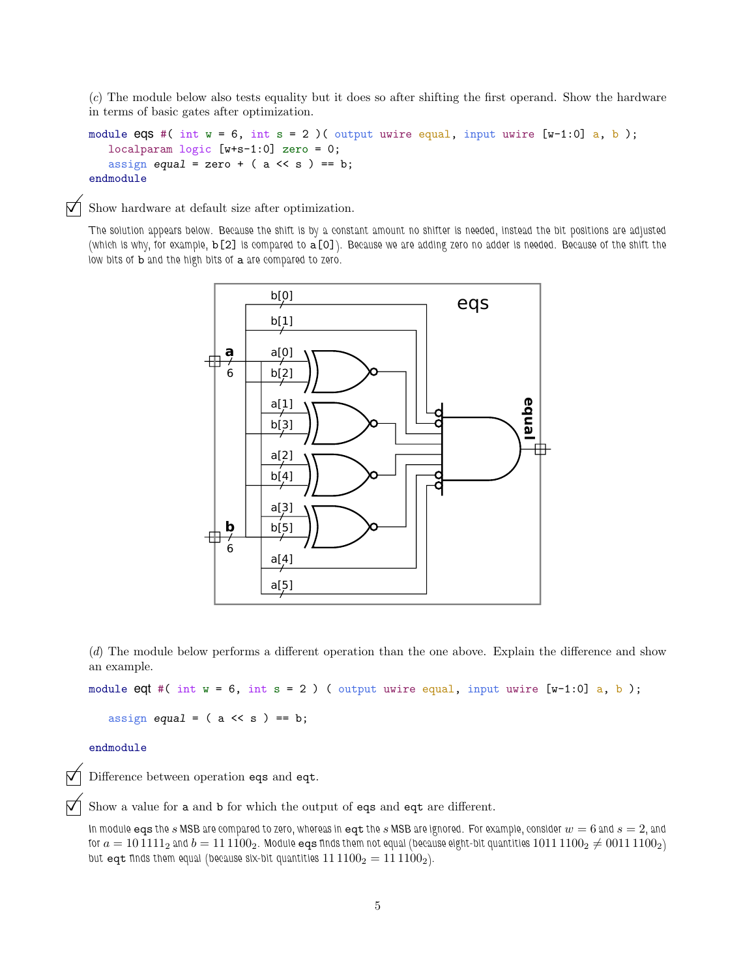(c) The module below also tests equality but it does so after shifting the first operand. Show the hardware in terms of basic gates after optimization.

```
module eqs #( int w = 6, int s = 2)( output uwire equal, input uwire [w-1:0] a, b);
   localparam logic [w+s-1:0] zero = 0;
   assign equal = zero + (a \lt\lt s) == b;endmodule
```
 $\nabla$  Show hardware at default size after optimization.

The solution appears below. Because the shift is by a constant amount no shifter is needed, instead the bit positions are adjusted (which is why, for example, b[2] is compared to a[0]). Because we are adding zero no adder is needed. Because of the shift the low bits of **b** and the high bits of a are compared to zero.



(d) The module below performs a different operation than the one above. Explain the difference and show an example.

module eqt #( int  $w = 6$ , int  $s = 2$  ) ( output uwire equal, input uwire  $[w-1:0]$  a, b);

assign equal =  $(a \lt\lt s) == b;$ 

## endmodule

Difference between operation eqs and eqt.

Show a value for <sup>a</sup> and <sup>b</sup> for which the output of eqs and eqt are different.

In module eqs the s MSB are compared to zero, whereas in eqt the s MSB are ignored. For example, consider  $w = 6$  and  $s = 2$ , and for  $a = 10\,1111_2$  and  $b = 11\,1100_2$ . Module eqs finds them not equal (because eight-bit quantities  $1011\,1100_2 \neq 0011\,1100_2$ ) but eqt finds them equal (because six-bit quantities  $11\,1100_2 = 11\,1100_2$ ).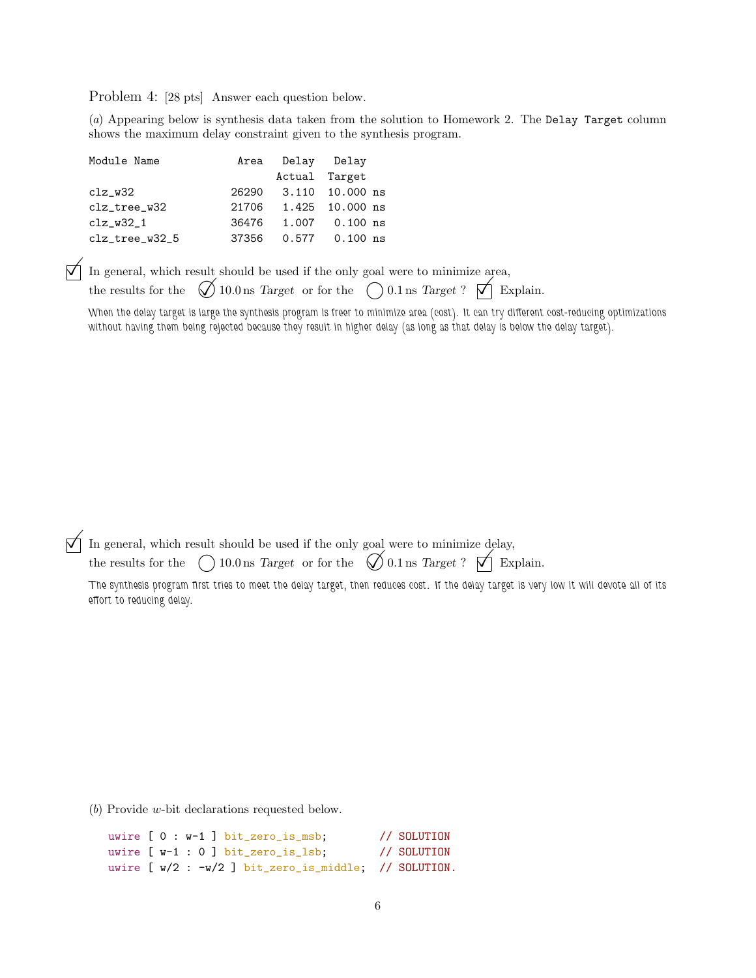Problem 4: [28 pts] Answer each question below.

(a) Appearing below is synthesis data taken from the solution to Homework 2. The Delay Target column shows the maximum delay constraint given to the synthesis program.

| Module Name                |       | Area Delay Delay |                       |
|----------------------------|-------|------------------|-----------------------|
|                            |       | Actual Target    |                       |
| $clz_w32$                  |       |                  | 26290 3.110 10.000 ns |
| clz_tree_w32               |       |                  | 21706 1.425 10.000 ns |
| $clz_w32_1$                | 36476 | 1.007            | $0.100$ ns            |
| $clz_\texttt{tree_W32\_5}$ | 37356 |                  | $0.577$ 0.100 ns      |

 $\boxed{\bigcirc}$  In general, which result should be used if the only goal were to minimize area, the results for the  $\bigcirc$  10.0 ns Target or for the  $\bigcirc$  0.1 ns Target?  $\boxed{\bigcirc}$  E  $\bigcirc$  10.0 ns Target or for the  $\bigcirc$  0.1 ns Target?  $\bigcirc$  Explain.

When the delay target is large the synthesis program is freer to minimize area (cost). It can try different cost-reducing optimizations without having them being rejected because they result in higher delay (as long as that delay is below the delay target).

In general, which result should be used if the only goal were to minimize delay,<br>the results for the  $\bigcap_{n=1}^{\infty} 10.0$  ns Target or for the  $\bigcap_{n=1}^{\infty} 0.1$  ns Target?  $\bigcap_{n=1}^{\infty}$  Ex

the results for the  $\bigcirc$  10.0 ns *Target* or for the  $\bigcirc$  0.1 ns *Target* ?  $\bigcirc$  Explain.

The synthesis program first tries to meet the delay target, then reduces cost. If the delay target is very low it will devote all of its effort to reducing delay.

(b) Provide w-bit declarations requested below.

```
uwire [ 0 : w-1 ] bit_zero_is_msb; // SOLUTION
uwire [ w-1 : 0 ] bit_zero_is_lsb; // SOLUTION
uwire [ w/2 : -w/2 ] bit_zero_is_middle; // SOLUTION.
```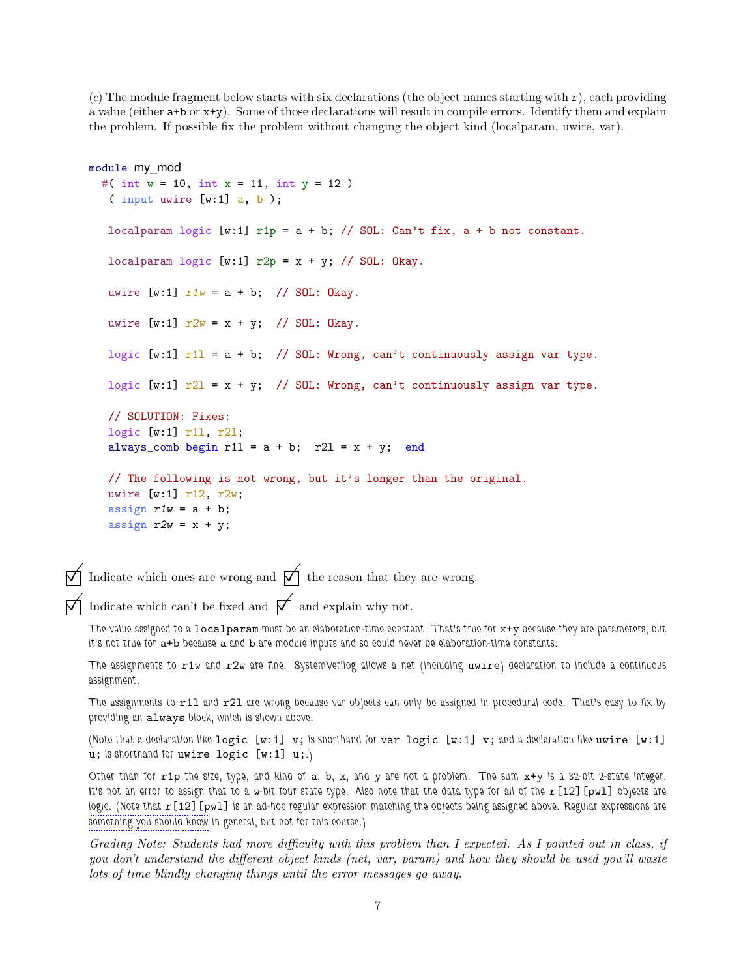(c) The module fragment below starts with six declarations (the object names starting with  $r$ ), each providing a value (either a+b or x+y). Some of those declarations will result in compile errors. Identify them and explain the problem. If possible fix the problem without changing the object kind (localparam, uwire, var).

```
module my_mod
  #( int w = 10, int x = 11, int y = 12 )
   ( input uwire [v:1] a, b );
   localparam logic [w:1] rip = a + b; // SOL: Can't fix, a + b not constant.
   localparam logic [w:1] r2p = x + y; // SOL: Okay.
  uwire [w:1] r1w = a + b; // SOL: Okay.
  uwire [w:1] r2w = x + y; // SOL: Okay.
   logic [w:1] r11 = a + b; // SOL: Wrong, can't continuously assign var type.
   logic [w:1] r21 = x + y; // SOL: Wrong, can't continuously assign var type.
   // SOLUTION: Fixes:
   logic [w:1] r1l, r2l;
   always_comb begin r11 = a + b; r21 = x + y; end
   // The following is not wrong, but it's longer than the original.
   uwire [w:1] r12, r2w;
   assign r1w = a + b;
  assign r2w = x + y;
```
Indicate which ones are wrong and  $\mathcal{V}$  the reason that they are wrong.

Indicate which can't be fixed and  $\vec{\nabla}$  and explain why not.

The value assigned to a localparam must be an elaboration-time constant. That's true for x+y because they are parameters, but it's not true for a+b because a and b are module inputs and so could never be elaboration-time constants.

The assignments to r1w and r2w are fine. SystemVerilog allows a net (including uwire) declaration to include a continuous assignment.

The assignments to r11 and r21 are wrong because var objects can only be assigned in procedural code. That's easy to fix by providing an always block, which is shown above.

(Note that a declaration like logic  $[w:1]$  v; is shorthand for var logic  $[w:1]$  v; and a declaration like uwire  $[w:1]$ u; is shorthand for uwire logic [w:1] u;.)

Other than for  $r1p$  the size, type, and kind of  $a$ ,  $b$ ,  $x$ , and  $y$  are not a problem. The sum  $x+y$  is a 32-bit 2-state integer. It's not an error to assign that to a w-bit four state type. Also note that the data type for all of the  $r[12]$  [pwl] objects are logic. (Note that  $r[12]$  [pwl] is an ad-hoc regular expression matching the objects being assigned above. Regular expressions are [something you should know](https://xkcd.com/208/) in general, but not for this course.)

Grading Note: Students had more difficulty with this problem than I expected. As I pointed out in class, if you don't understand the different object kinds (net, var, param) and how they should be used you'll waste lots of time blindly changing things until the error messages go away.